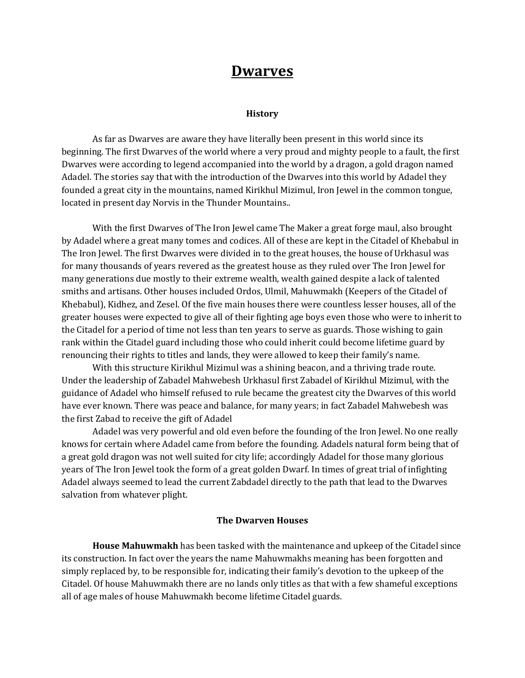# **Dwarves**

#### **History**

As far as Dwarves are aware they have literally been present in this world since its beginning. The first Dwarves of the world where a very proud and mighty people to a fault, the first Dwarves were according to legend accompanied into the world by a dragon, a gold dragon named Adadel. The stories say that with the introduction of the Dwarves into this world by Adadel they founded a great city in the mountains, named Kirikhul Mizimul, Iron Jewel in the common tongue, located in present day Norvis in the Thunder Mountains..

With the first Dwarves of The Iron Jewel came The Maker a great forge maul, also brought by Adadel where a great many tomes and codices. All of these are kept in the Citadel of Khebabul in The Iron Jewel. The first Dwarves were divided in to the great houses, the house of Urkhasul was for many thousands of years revered as the greatest house as they ruled over The Iron Jewel for many generations due mostly to their extreme wealth, wealth gained despite a lack of talented smiths and artisans. Other houses included Ordos, Ulmil, Mahuwmakh (Keepers of the Citadel of Khebabul), Kidhez, and Zesel. Of the five main houses there were countless lesser houses, all of the greater houses were expected to give all of their fighting age boys even those who were to inherit to the Citadel for a period of time not less than ten years to serve as guards. Those wishing to gain rank within the Citadel guard including those who could inherit could become lifetime guard by renouncing their rights to titles and lands, they were allowed to keep their family's name.

With this structure Kirikhul Mizimul was a shining beacon, and a thriving trade route. Under the leadership of Zabadel Mahwebesh Urkhasul first Zabadel of Kirikhul Mizimul, with the guidance of Adadel who himself refused to rule became the greatest city the Dwarves of this world have ever known. There was peace and balance, for many years; in fact Zabadel Mahwebesh was the first Zabad to receive the gift of Adadel

Adadel was very powerful and old even before the founding of the Iron Jewel. No one really knows for certain where Adadel came from before the founding. Adadels natural form being that of a great gold dragon was not well suited for city life; accordingly Adadel for those many glorious years of The Iron Jewel took the form of a great golden Dwarf. In times of great trial of infighting Adadel always seemed to lead the current Zabdadel directly to the path that lead to the Dwarves salvation from whatever plight.

#### **The Dwarven Houses**

**House Mahuwmakh** has been tasked with the maintenance and upkeep of the Citadel since its construction. In fact over the years the name Mahuwmakhs meaning has been forgotten and simply replaced by, to be responsible for, indicating their family's devotion to the upkeep of the Citadel. Of house Mahuwmakh there are no lands only titles as that with a few shameful exceptions all of age males of house Mahuwmakh become lifetime Citadel guards.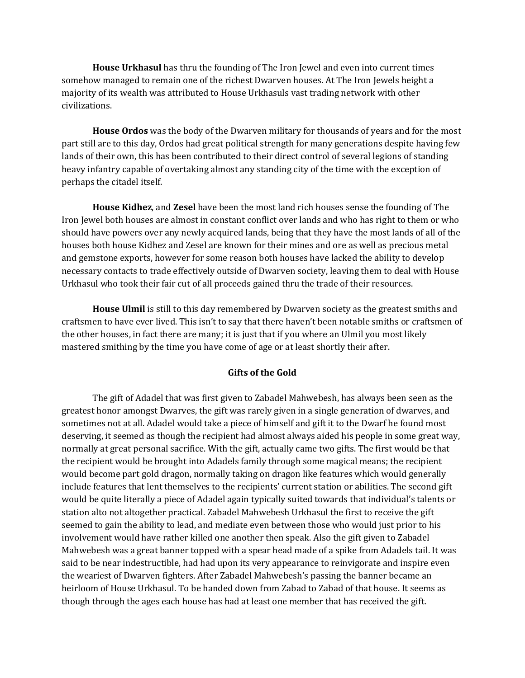**House Urkhasul** has thru the founding of The Iron Jewel and even into current times somehow managed to remain one of the richest Dwarven houses. At The Iron Jewels height a majority of its wealth was attributed to House Urkhasuls vast trading network with other civilizations.

**House Ordos** was the body of the Dwarven military for thousands of years and for the most part still are to this day, Ordos had great political strength for many generations despite having few lands of their own, this has been contributed to their direct control of several legions of standing heavy infantry capable of overtaking almost any standing city of the time with the exception of perhaps the citadel itself.

**House Kidhez**, and **Zesel** have been the most land rich houses sense the founding of The Iron Jewel both houses are almost in constant conflict over lands and who has right to them or who should have powers over any newly acquired lands, being that they have the most lands of all of the houses both house Kidhez and Zesel are known for their mines and ore as well as precious metal and gemstone exports, however for some reason both houses have lacked the ability to develop necessary contacts to trade effectively outside of Dwarven society, leaving them to deal with House Urkhasul who took their fair cut of all proceeds gained thru the trade of their resources.

**House Ulmil** is still to this day remembered by Dwarven society as the greatest smiths and craftsmen to have ever lived. This isn't to say that there haven't been notable smiths or craftsmen of the other houses, in fact there are many; it is just that if you where an Ulmil you most likely mastered smithing by the time you have come of age or at least shortly their after.

### **Gifts of the Gold**

The gift of Adadel that was first given to Zabadel Mahwebesh, has always been seen as the greatest honor amongst Dwarves, the gift was rarely given in a single generation of dwarves, and sometimes not at all. Adadel would take a piece of himself and gift it to the Dwarf he found most deserving, it seemed as though the recipient had almost always aided his people in some great way, normally at great personal sacrifice. With the gift, actually came two gifts. The first would be that the recipient would be brought into Adadels family through some magical means; the recipient would become part gold dragon, normally taking on dragon like features which would generally include features that lent themselves to the recipients' current station or abilities. The second gift would be quite literally a piece of Adadel again typically suited towards that individual's talents or station alto not altogether practical. Zabadel Mahwebesh Urkhasul the first to receive the gift seemed to gain the ability to lead, and mediate even between those who would just prior to his involvement would have rather killed one another then speak. Also the gift given to Zabadel Mahwebesh was a great banner topped with a spear head made of a spike from Adadels tail. It was said to be near indestructible, had had upon its very appearance to reinvigorate and inspire even the weariest of Dwarven fighters. After Zabadel Mahwebesh's passing the banner became an heirloom of House Urkhasul. To be handed down from Zabad to Zabad of that house. It seems as though through the ages each house has had at least one member that has received the gift.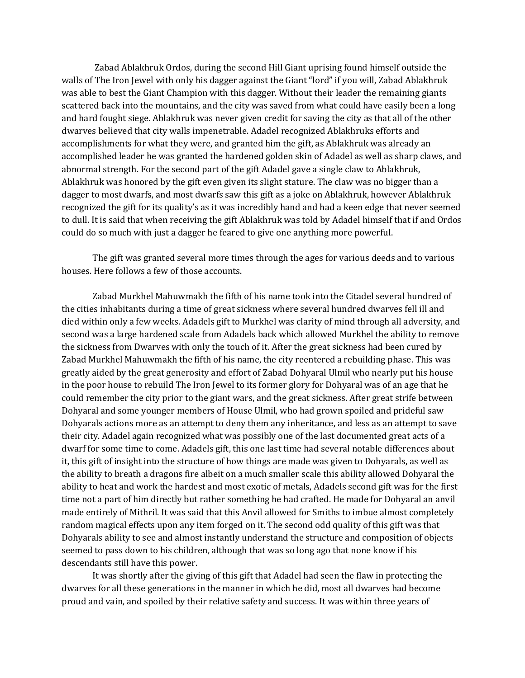Zabad Ablakhruk Ordos, during the second Hill Giant uprising found himself outside the walls of The Iron Jewel with only his dagger against the Giant "lord" if you will, Zabad Ablakhruk was able to best the Giant Champion with this dagger. Without their leader the remaining giants scattered back into the mountains, and the city was saved from what could have easily been a long and hard fought siege. Ablakhruk was never given credit for saving the city as that all of the other dwarves believed that city walls impenetrable. Adadel recognized Ablakhruks efforts and accomplishments for what they were, and granted him the gift, as Ablakhruk was already an accomplished leader he was granted the hardened golden skin of Adadel as well as sharp claws, and abnormal strength. For the second part of the gift Adadel gave a single claw to Ablakhruk, Ablakhruk was honored by the gift even given its slight stature. The claw was no bigger than a dagger to most dwarfs, and most dwarfs saw this gift as a joke on Ablakhruk, however Ablakhruk recognized the gift for its quality's as it was incredibly hand and had a keen edge that never seemed to dull. It is said that when receiving the gift Ablakhruk was told by Adadel himself that if and Ordos could do so much with just a dagger he feared to give one anything more powerful.

The gift was granted several more times through the ages for various deeds and to various houses. Here follows a few of those accounts.

Zabad Murkhel Mahuwmakh the fifth of his name took into the Citadel several hundred of the cities inhabitants during a time of great sickness where several hundred dwarves fell ill and died within only a few weeks. Adadels gift to Murkhel was clarity of mind through all adversity, and second was a large hardened scale from Adadels back which allowed Murkhel the ability to remove the sickness from Dwarves with only the touch of it. After the great sickness had been cured by Zabad Murkhel Mahuwmakh the fifth of his name, the city reentered a rebuilding phase. This was greatly aided by the great generosity and effort of Zabad Dohyaral Ulmil who nearly put his house in the poor house to rebuild The Iron Jewel to its former glory for Dohyaral was of an age that he could remember the city prior to the giant wars, and the great sickness. After great strife between Dohyaral and some younger members of House Ulmil, who had grown spoiled and prideful saw Dohyarals actions more as an attempt to deny them any inheritance, and less as an attempt to save their city. Adadel again recognized what was possibly one of the last documented great acts of a dwarf for some time to come. Adadels gift, this one last time had several notable differences about it, this gift of insight into the structure of how things are made was given to Dohyarals, as well as the ability to breath a dragons fire albeit on a much smaller scale this ability allowed Dohyaral the ability to heat and work the hardest and most exotic of metals, Adadels second gift was for the first time not a part of him directly but rather something he had crafted. He made for Dohyaral an anvil made entirely of Mithril. It was said that this Anvil allowed for Smiths to imbue almost completely random magical effects upon any item forged on it. The second odd quality of this gift was that Dohyarals ability to see and almost instantly understand the structure and composition of objects seemed to pass down to his children, although that was so long ago that none know if his descendants still have this power.

It was shortly after the giving of this gift that Adadel had seen the flaw in protecting the dwarves for all these generations in the manner in which he did, most all dwarves had become proud and vain, and spoiled by their relative safety and success. It was within three years of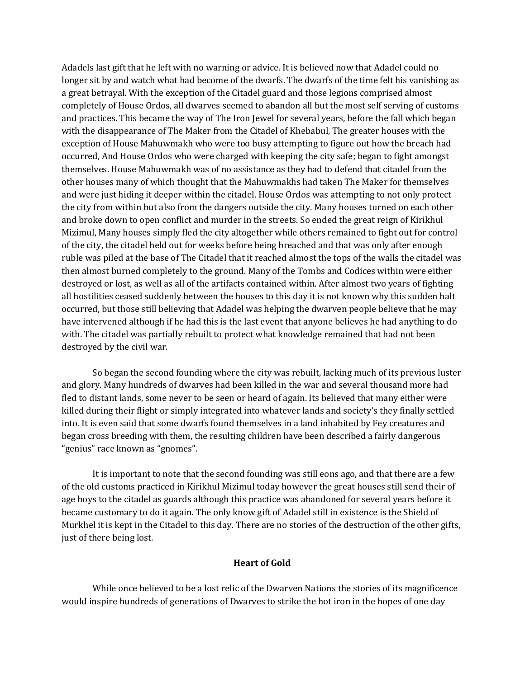Adadels last gift that he left with no warning or advice. It is believed now that Adadel could no longer sit by and watch what had become of the dwarfs. The dwarfs of the time felt his vanishing as a great betrayal. With the exception of the Citadel guard and those legions comprised almost completely of House Ordos, all dwarves seemed to abandon all but the most self serving of customs and practices. This became the way of The Iron Jewel for several years, before the fall which began with the disappearance of The Maker from the Citadel of Khebabul, The greater houses with the exception of House Mahuwmakh who were too busy attempting to figure out how the breach had occurred, And House Ordos who were charged with keeping the city safe; began to fight amongst themselves. House Mahuwmakh was of no assistance as they had to defend that citadel from the other houses many of which thought that the Mahuwmakhs had taken The Maker for themselves and were just hiding it deeper within the citadel. House Ordos was attempting to not only protect the city from within but also from the dangers outside the city. Many houses turned on each other and broke down to open conflict and murder in the streets. So ended the great reign of Kirikhul Mizimul, Many houses simply fled the city altogether while others remained to fight out for control of the city, the citadel held out for weeks before being breached and that was only after enough ruble was piled at the base of The Citadel that it reached almost the tops of the walls the citadel was then almost burned completely to the ground. Many of the Tombs and Codices within were either destroyed or lost, as well as all of the artifacts contained within. After almost two years of fighting all hostilities ceased suddenly between the houses to this day it is not known why this sudden halt occurred, but those still believing that Adadel was helping the dwarven people believe that he may have intervened although if he had this is the last event that anyone believes he had anything to do with. The citadel was partially rebuilt to protect what knowledge remained that had not been destroyed by the civil war.

So began the second founding where the city was rebuilt, lacking much of its previous luster and glory. Many hundreds of dwarves had been killed in the war and several thousand more had fled to distant lands, some never to be seen or heard of again. Its believed that many either were killed during their flight or simply integrated into whatever lands and society's they finally settled into. It is even said that some dwarfs found themselves in a land inhabited by Fey creatures and began cross breeding with them, the resulting children have been described a fairly dangerous "genius" race known as "gnomes".

It is important to note that the second founding was still eons ago, and that there are a few of the old customs practiced in Kirikhul Mizimul today however the great houses still send their of age boys to the citadel as guards although this practice was abandoned for several years before it became customary to do it again. The only know gift of Adadel still in existence is the Shield of Murkhel it is kept in the Citadel to this day. There are no stories of the destruction of the other gifts, just of there being lost.

#### **Heart of Gold**

While once believed to be a lost relic of the Dwarven Nations the stories of its magnificence would inspire hundreds of generations of Dwarves to strike the hot iron in the hopes of one day